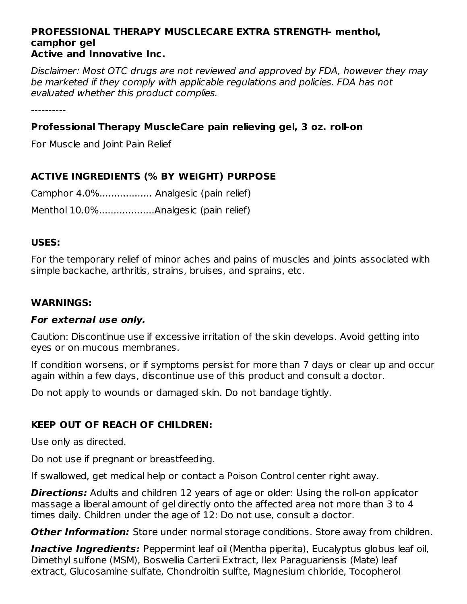#### **PROFESSIONAL THERAPY MUSCLECARE EXTRA STRENGTH- menthol, camphor gel Active and Innovative Inc.**

Disclaimer: Most OTC drugs are not reviewed and approved by FDA, however they may be marketed if they comply with applicable regulations and policies. FDA has not evaluated whether this product complies.

----------

## **Professional Therapy MuscleCare pain relieving gel, 3 oz. roll-on**

For Muscle and Joint Pain Relief

## **ACTIVE INGREDIENTS (% BY WEIGHT) PURPOSE**

| Camphor 4.0% Analgesic (pain relief) |
|--------------------------------------|
| Menthol 10.0%Analgesic (pain relief) |

### **USES:**

For the temporary relief of minor aches and pains of muscles and joints associated with simple backache, arthritis, strains, bruises, and sprains, etc.

#### **WARNINGS:**

#### **For external use only.**

Caution: Discontinue use if excessive irritation of the skin develops. Avoid getting into eyes or on mucous membranes.

If condition worsens, or if symptoms persist for more than 7 days or clear up and occur again within a few days, discontinue use of this product and consult a doctor.

Do not apply to wounds or damaged skin. Do not bandage tightly.

## **KEEP OUT OF REACH OF CHILDREN:**

Use only as directed.

Do not use if pregnant or breastfeeding.

If swallowed, get medical help or contact a Poison Control center right away.

**Directions:** Adults and children 12 years of age or older: Using the roll-on applicator massage a liberal amount of gel directly onto the affected area not more than 3 to 4 times daily. Children under the age of 12: Do not use, consult a doctor.

**Other Information:** Store under normal storage conditions. Store away from children.

**Inactive Ingredients:** Peppermint leaf oil (Mentha piperita), Eucalyptus globus leaf oil, Dimethyl sulfone (MSM), Boswellia Carterii Extract, Ilex Paraguariensis (Mate) leaf extract, Glucosamine sulfate, Chondroitin sulfte, Magnesium chloride, Tocopherol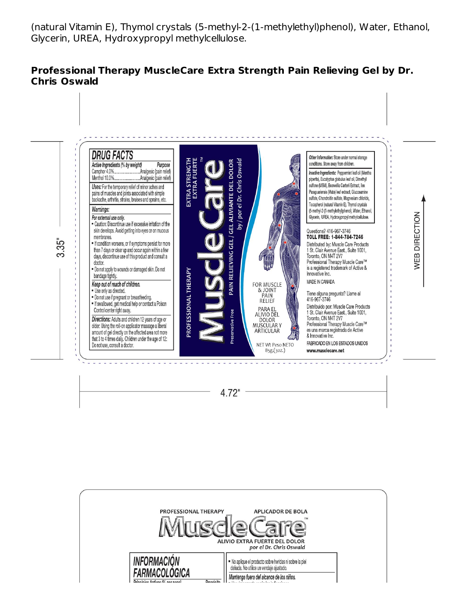(natural Vitamin E), Thymol crystals (5-methyl-2-(1-methylethyl)phenol), Water, Ethanol, Glycerin, UREA, Hydroxypropyl methylcellulose.

### **Professional Therapy MuscleCare Extra Strength Pain Relieving Gel by Dr. Chris Oswald**



PROFESSIONAL THERAPY **APLICADOR DE BOLA** ALIVIO EXTRA FUERTE DEL DOLOR por el Dr. Chris Oswald **INFORMACIÓN** No aplique el producto sobre heridas ni sobre la piel dañada. No utilice un vendaje ajustado. FARMACOLOGICA Mantenga fuera del alcance de los niños.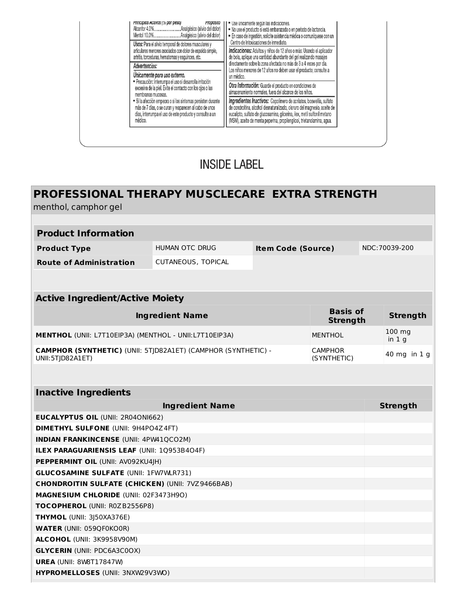|                                                                                                                                                                                             | " Use unicamente segun las indicaciones.<br>No use el producto si está embarazada o en período de lactancia.<br>- En caso de ingestión, solicite asistencia médica o comuníquese con un<br>Centro de Intoxicaciones de inmediato.<br>Indicaciones: Adultos y niños de 12 años o más: Usando el aplicador<br>de bola, aplique una cantidad abundante del gel realizando masajes<br>directamente sobre la zona afectada no más de 3 a 4 veces por día.<br>Los niños menores de 12 años no deben usar el producto; consulte a |  |
|---------------------------------------------------------------------------------------------------------------------------------------------------------------------------------------------|----------------------------------------------------------------------------------------------------------------------------------------------------------------------------------------------------------------------------------------------------------------------------------------------------------------------------------------------------------------------------------------------------------------------------------------------------------------------------------------------------------------------------|--|
| Usos: Para el alivio temporal de dolores musculares y<br>articulares menores asociados con dolor de espalda simple.<br>artritis, torceduras, hematomas y esquinces, etc.                    |                                                                                                                                                                                                                                                                                                                                                                                                                                                                                                                            |  |
| Advertencias:                                                                                                                                                                               |                                                                                                                                                                                                                                                                                                                                                                                                                                                                                                                            |  |
| Unicamente para uso externo.<br>Precaución: Interrumpa el uso si desarrolla irritación<br>excesiva de la piel. Evite el contacto con los ojos o las<br>membranas mucosas.                   | un médico.                                                                                                                                                                                                                                                                                                                                                                                                                                                                                                                 |  |
|                                                                                                                                                                                             | Otra Información: Guarde el producto en condiciones de<br>almacenamiento normales, fuera del alcance de los niños.                                                                                                                                                                                                                                                                                                                                                                                                         |  |
| Si la afección empeora o si los síntomas persisten durante<br>más de 7 días, o se curan y reaparecen al cabo de unos<br>días, interrumpa el uso de este producto y consulte a un<br>médico. | Ingredientes Inactivos: Copolímero de acrilatos, boswellia, sulfato<br>de condroitina, alcohol desnaturalizado, cloruro del magnesio, aceite de<br>eucalipto, sulfato de glucosamina, glicerina, ilex, metil sulfonil metano<br>(MSM), aceite de menta peperina, propilenglicol, trietanolamina, agua.                                                                                                                                                                                                                     |  |

## **INSIDE LABEL**

# **PROFESSIONAL THERAPY MUSCLECARE EXTRA STRENGTH**

menthol, camphor gel

| <b>Product Information</b>     |                    |                           |               |
|--------------------------------|--------------------|---------------------------|---------------|
| <b>Product Type</b>            | HUMAN OTC DRUG     | <b>Item Code (Source)</b> | NDC:70039-200 |
| <b>Route of Administration</b> | CUTANEOUS, TOPICAL |                           |               |

| <b>Active Ingredient/Active Moiety</b>                                                   |                                    |                             |  |
|------------------------------------------------------------------------------------------|------------------------------------|-----------------------------|--|
| <b>Ingredient Name</b>                                                                   | <b>Basis of</b><br><b>Strength</b> | <b>Strength</b>             |  |
| MENTHOL (UNII: L7T10EIP3A) (MENTHOL - UNII:L7T10EIP3A)                                   | <b>MENTHOL</b>                     | $100 \text{ mg}$<br>in $1g$ |  |
| <b>CAMPHOR (SYNTHETIC)</b> (UNII: 5TID82A1ET) (CAMPHOR (SYNTHETIC) -<br>UNII:5TJD82A1ET) | <b>CAMPHOR</b><br>(SYNTHETIC)      | $140$ mg in 1 g             |  |

| <b>Inactive Ingredients</b>                             |                 |  |  |  |
|---------------------------------------------------------|-----------------|--|--|--|
| <b>Ingredient Name</b>                                  | <b>Strength</b> |  |  |  |
| <b>EUCALYPTUS OIL (UNII: 2R04ON1662)</b>                |                 |  |  |  |
| <b>DIMETHYL SULFONE (UNII: 9H4PO4Z4FT)</b>              |                 |  |  |  |
| <b>INDIAN FRANKINCENSE (UNII: 4PW41QCO2M)</b>           |                 |  |  |  |
| <b>ILEX PARAGUARIENSIS LEAF (UNII: 1Q953B4O4F)</b>      |                 |  |  |  |
| <b>PEPPERMINT OIL (UNII: AV092KU4JH)</b>                |                 |  |  |  |
| <b>GLUCOSAMINE SULFATE (UNII: 1FW7WLR731)</b>           |                 |  |  |  |
| <b>CHONDROITIN SULFATE (CHICKEN) (UNII: 7VZ9466BAB)</b> |                 |  |  |  |
| <b>MAGNESIUM CHLORIDE (UNII: 02F3473H9O)</b>            |                 |  |  |  |
| <b>TOCOPHEROL (UNII: R0ZB2556P8)</b>                    |                 |  |  |  |
| <b>THYMOL</b> (UNII: 3)50XA376E)                        |                 |  |  |  |
| <b>WATER (UNII: 059QF0KO0R)</b>                         |                 |  |  |  |
| <b>ALCOHOL</b> (UNII: 3K9958V90M)                       |                 |  |  |  |
| <b>GLYCERIN (UNII: PDC6A3C0OX)</b>                      |                 |  |  |  |
| <b>UREA (UNII: 8W8T17847W)</b>                          |                 |  |  |  |
| <b>HYPROMELLOSES (UNII: 3NXW29V3WO)</b>                 |                 |  |  |  |